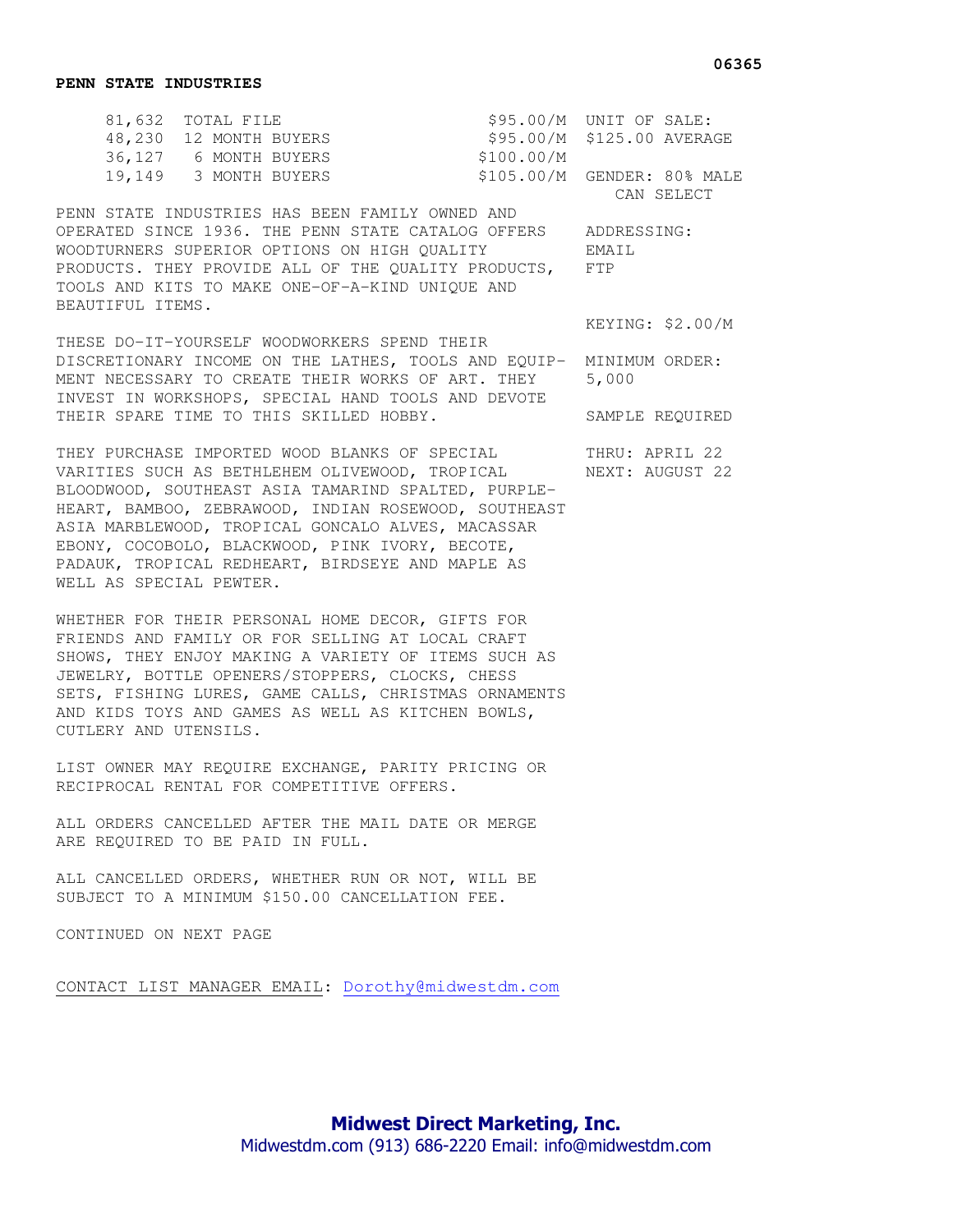| 81,632 TOTAL FILE      |            | $$95.00/M$ UNIT OF SALE:    |
|------------------------|------------|-----------------------------|
| 48,230 12 MONTH BUYERS |            | \$95.00/M \$125.00 AVERAGE  |
| 36,127 6 MONTH BUYERS  | \$100.00/M |                             |
| 19,149 3 MONTH BUYERS  |            | \$105.00/M GENDER: 80% MALE |
|                        |            | CAN SELECT                  |

PENN STATE INDUSTRIES HAS BEEN FAMILY OWNED AND OPERATED SINCE 1936. THE PENN STATE CATALOG OFFERS ADDRESSING: WOODTURNERS SUPERIOR OPTIONS ON HIGH QUALITY EMAIL PRODUCTS. THEY PROVIDE ALL OF THE QUALITY PRODUCTS, FTP TOOLS AND KITS TO MAKE ONE-OF-A-KIND UNIQUE AND BEAUTIFUL ITEMS.

THESE DO-IT-YOURSELF WOODWORKERS SPEND THEIR DISCRETIONARY INCOME ON THE LATHES, TOOLS AND EQUIP- MINIMUM ORDER: MENT NECESSARY TO CREATE THEIR WORKS OF ART. THEY 5,000 INVEST IN WORKSHOPS, SPECIAL HAND TOOLS AND DEVOTE THEIR SPARE TIME TO THIS SKILLED HOBBY. SAMPLE REQUIRED

THEY PURCHASE IMPORTED WOOD BLANKS OF SPECIAL THRU: APRIL 22 VARITIES SUCH AS BETHLEHEM OLIVEWOOD, TROPICAL MEXT: AUGUST 22 BLOODWOOD, SOUTHEAST ASIA TAMARIND SPALTED, PURPLE-HEART, BAMBOO, ZEBRAWOOD, INDIAN ROSEWOOD, SOUTHEAST ASIA MARBLEWOOD, TROPICAL GONCALO ALVES, MACASSAR EBONY, COCOBOLO, BLACKWOOD, PINK IVORY, BECOTE, PADAUK, TROPICAL REDHEART, BIRDSEYE AND MAPLE AS WELL AS SPECIAL PEWTER.

WHETHER FOR THEIR PERSONAL HOME DECOR, GIFTS FOR FRIENDS AND FAMILY OR FOR SELLING AT LOCAL CRAFT SHOWS, THEY ENJOY MAKING A VARIETY OF ITEMS SUCH AS JEWELRY, BOTTLE OPENERS/STOPPERS, CLOCKS, CHESS SETS, FISHING LURES, GAME CALLS, CHRISTMAS ORNAMENTS AND KIDS TOYS AND GAMES AS WELL AS KITCHEN BOWLS, CUTLERY AND UTENSILS.

LIST OWNER MAY REQUIRE EXCHANGE, PARITY PRICING OR RECIPROCAL RENTAL FOR COMPETITIVE OFFERS.

ALL ORDERS CANCELLED AFTER THE MAIL DATE OR MERGE ARE REQUIRED TO BE PAID IN FULL.

ALL CANCELLED ORDERS, WHETHER RUN OR NOT, WILL BE SUBJECT TO A MINIMUM \$150.00 CANCELLATION FEE.

CONTINUED ON NEXT PAGE

CONTACT LIST MANAGER EMAIL: Dorothy@midwestdm.com

KEYING: \$2.00/M